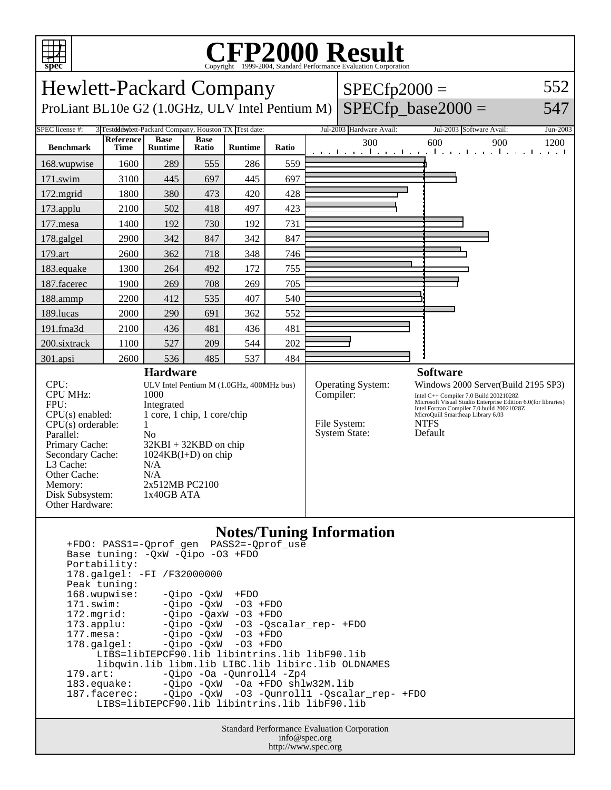

## Copyright ©1999-2004, Standard Performance Evaluation Corporation

| <b>Hewlett-Packard Company</b>                                                                                                                                                                                                                                                                                                                                                                                                         |                          |                                                                    |                      |                                                                                                        |           |                                                                  | $SPECfp2000 =$                                                                                                                                                                                                                                              |                                                                            | 552      |
|----------------------------------------------------------------------------------------------------------------------------------------------------------------------------------------------------------------------------------------------------------------------------------------------------------------------------------------------------------------------------------------------------------------------------------------|--------------------------|--------------------------------------------------------------------|----------------------|--------------------------------------------------------------------------------------------------------|-----------|------------------------------------------------------------------|-------------------------------------------------------------------------------------------------------------------------------------------------------------------------------------------------------------------------------------------------------------|----------------------------------------------------------------------------|----------|
| ProLiant BL10e G2 (1.0GHz, ULV Intel Pentium M)                                                                                                                                                                                                                                                                                                                                                                                        |                          |                                                                    |                      |                                                                                                        |           |                                                                  |                                                                                                                                                                                                                                                             | $SPECfp\_base2000 =$                                                       | 547      |
| SPEC license #:                                                                                                                                                                                                                                                                                                                                                                                                                        |                          | 3 Testdddwlett-Packard Company, Houston TX Test date:              |                      |                                                                                                        |           |                                                                  | Jul-2003 Hardware Avail:                                                                                                                                                                                                                                    | Jul-2003 Software Avail:                                                   | Jun-2003 |
| <b>Benchmark</b>                                                                                                                                                                                                                                                                                                                                                                                                                       | <b>Reference</b><br>Time | <b>Base</b><br><b>Runtime</b>                                      | <b>Base</b><br>Ratio | <b>Runtime</b>                                                                                         | Ratio     |                                                                  | 300                                                                                                                                                                                                                                                         | 600<br>900<br>المتعملة والمتعمل والمتعمل المتعمل والمتعمل والمتعمل والمتعم | 1200     |
| 168.wupwise                                                                                                                                                                                                                                                                                                                                                                                                                            | 1600                     | 289                                                                | 555                  | 286                                                                                                    | 559       |                                                                  |                                                                                                                                                                                                                                                             |                                                                            |          |
| 171.swim                                                                                                                                                                                                                                                                                                                                                                                                                               | 3100                     | 445                                                                | 697                  | 445                                                                                                    | 697       |                                                                  |                                                                                                                                                                                                                                                             |                                                                            |          |
| 172.mgrid                                                                                                                                                                                                                                                                                                                                                                                                                              | 1800                     | 380                                                                | 473                  | 420                                                                                                    | 428       |                                                                  |                                                                                                                                                                                                                                                             |                                                                            |          |
| 173.applu                                                                                                                                                                                                                                                                                                                                                                                                                              | 2100                     | 502                                                                | 418                  | 497                                                                                                    | 423       |                                                                  |                                                                                                                                                                                                                                                             |                                                                            |          |
| 177.mesa                                                                                                                                                                                                                                                                                                                                                                                                                               | 1400                     | 192                                                                | 730                  | 192                                                                                                    | 731       |                                                                  |                                                                                                                                                                                                                                                             |                                                                            |          |
| 178.galgel                                                                                                                                                                                                                                                                                                                                                                                                                             | 2900                     | 342                                                                | 847                  | 342                                                                                                    | 847       |                                                                  |                                                                                                                                                                                                                                                             |                                                                            |          |
| 179.art                                                                                                                                                                                                                                                                                                                                                                                                                                | 2600                     | 362                                                                | 718                  | 348                                                                                                    | 746       |                                                                  |                                                                                                                                                                                                                                                             |                                                                            |          |
| 183.equake                                                                                                                                                                                                                                                                                                                                                                                                                             | 1300                     | 264                                                                | 492                  | 172                                                                                                    | 755       |                                                                  |                                                                                                                                                                                                                                                             |                                                                            |          |
| 187.facerec                                                                                                                                                                                                                                                                                                                                                                                                                            | 1900                     | 269                                                                | 708                  | 269                                                                                                    | 705       |                                                                  |                                                                                                                                                                                                                                                             |                                                                            |          |
| 188.ammp                                                                                                                                                                                                                                                                                                                                                                                                                               | 2200                     | 412                                                                | 535                  | 407                                                                                                    | 540       |                                                                  |                                                                                                                                                                                                                                                             |                                                                            |          |
| 189.lucas                                                                                                                                                                                                                                                                                                                                                                                                                              | 2000                     | 290                                                                | 691                  | 362                                                                                                    | 552       |                                                                  |                                                                                                                                                                                                                                                             |                                                                            |          |
| 191.fma3d                                                                                                                                                                                                                                                                                                                                                                                                                              | 2100                     | 436                                                                | 481                  | 436                                                                                                    | 481       |                                                                  |                                                                                                                                                                                                                                                             |                                                                            |          |
| 200.sixtrack                                                                                                                                                                                                                                                                                                                                                                                                                           | 1100                     | 527                                                                | 209                  | 544                                                                                                    | 202       |                                                                  |                                                                                                                                                                                                                                                             |                                                                            |          |
| 301.apsi                                                                                                                                                                                                                                                                                                                                                                                                                               | 2600                     | 536                                                                | 485                  | 537                                                                                                    | 484       |                                                                  |                                                                                                                                                                                                                                                             |                                                                            |          |
|                                                                                                                                                                                                                                                                                                                                                                                                                                        |                          | <b>Hardware</b>                                                    |                      |                                                                                                        |           |                                                                  |                                                                                                                                                                                                                                                             | <b>Software</b>                                                            |          |
| CPU:<br>ULV Intel Pentium M (1.0GHz, 400MHz bus)<br><b>CPU MHz:</b><br>1000<br>FPU:<br>Integrated<br>1 core, 1 chip, 1 core/chip<br>$CPU(s)$ enabled:<br>$CPU(s)$ orderable:<br>1<br>Parallel:<br>N <sub>0</sub><br>Primary Cache:<br>$32KBI + 32KBD$ on chip<br>Secondary Cache:<br>$1024KB(I+D)$ on chip<br>L3 Cache:<br>N/A<br>Other Cache:<br>N/A<br>2x512MB PC2100<br>Memory:<br>1x40GB ATA<br>Disk Subsystem:<br>Other Hardware: |                          |                                                                    |                      |                                                                                                        | Compiler: | <b>Operating System:</b><br>File System:<br><b>System State:</b> | Windows 2000 Server(Build 2195 SP3)<br>Intel C++ Compiler 7.0 Build 20021028Z<br>Microsoft Visual Studio Enterprise Edition 6.0(for libraries)<br>Intel Fortran Compiler 7.0 build 20021028Z<br>MicroQuill Smartheap Library 6.03<br><b>NTFS</b><br>Default |                                                                            |          |
| Portability:<br>Peak tuning:<br>168.wupwise:<br>171.swim:<br>172.mgrid:<br>173.applu:                                                                                                                                                                                                                                                                                                                                                  |                          | Base tuning: - QxW - Qipo - 03 + FDO<br>178.galgel: -FI /F32000000 | -Qipo -QxW           | $+{\rm FDO}$<br>$-Qipo -QxW -O3 + FDO$<br>$-Qipo -QaxW -O3 + FDO$<br>-Qipo -QxW -03 -Qscalar_rep- +FDO |           |                                                                  | <b>Notes/Tuning Information</b>                                                                                                                                                                                                                             |                                                                            |          |

177.mesa: -Qipo -QxW -O3 +FDO 178.galgel: -Qipo -QxW -O3 +FDO LIBS=libIEPCF90.lib libintrins.lib libF90.lib libqwin.lib libm.lib LIBC.lib libirc.lib OLDNAMES<br>179.art: -Qipo -Oa -Qunroll4 -Zp4 179.art: -Qipo -Oa -Qunroll4 -Zp4<br>183.equake: -Qipo -QxW -Oa +FDO shlu 183.equake: -Qipo -QxW -Oa +FDO shlw32M.lib 187.facerec: -Qipo -QxW -O3 -Qunroll1 -Qscalar\_rep- +FDO LIBS=libIEPCF90.lib libintrins.lib libF90.lib

> Standard Performance Evaluation Corporation info@spec.org http://www.spec.org